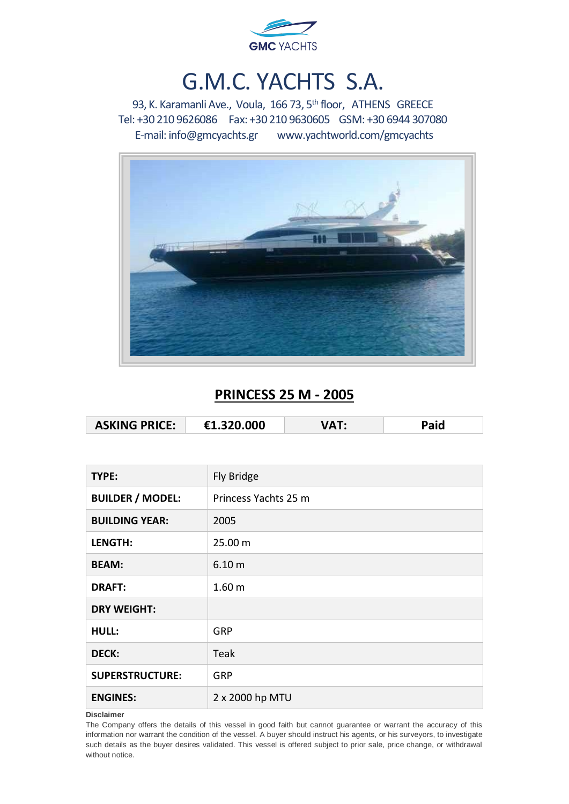

# G.M.C. YACHTS S.A.

93, K. Karamanli Ave., Voula, 166 73, 5<sup>th</sup> floor, ATHENS GREECE Tel: +30 210 9626086 Fax: +30 210 9630605 GSM: +30 6944 307080 E-mail[: info@gmcyachts.gr](mailto:info@gmcyachts.gr) [www.yachtworld.com/gmcyachts](http://www.yachtworld.com/gmcyachts)



### **PRINCESS 25 M - 2005**

| <b>ASKING PRICE:</b> | €1.320.000 |  | Paid |
|----------------------|------------|--|------|
|----------------------|------------|--|------|

| TYPE:                   | Fly Bridge           |
|-------------------------|----------------------|
| <b>BUILDER / MODEL:</b> | Princess Yachts 25 m |
| <b>BUILDING YEAR:</b>   | 2005                 |
| <b>LENGTH:</b>          | 25.00 m              |
| <b>BEAM:</b>            | 6.10 m               |
| <b>DRAFT:</b>           | 1.60 <sub>m</sub>    |
| <b>DRY WEIGHT:</b>      |                      |
| <b>HULL:</b>            | GRP                  |
| <b>DECK:</b>            | Teak                 |
| <b>SUPERSTRUCTURE:</b>  | GRP                  |
| <b>ENGINES:</b>         | 2 x 2000 hp MTU      |

### **Disclaimer**

The Company offers the details of this vessel in good faith but cannot guarantee or warrant the accuracy of this information nor warrant the condition of the vessel. A buyer should instruct his agents, or his surveyors, to investigate such details as the buyer desires validated. This vessel is offered subject to prior sale, price change, or withdrawal without notice.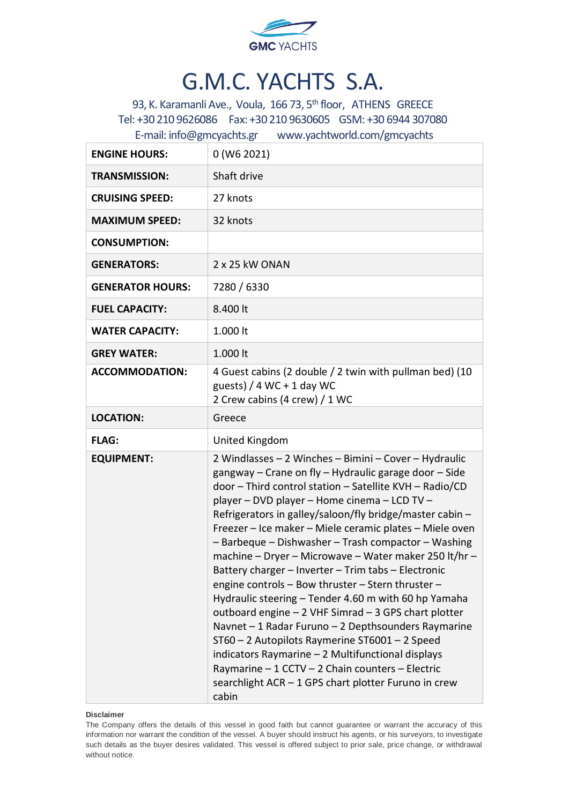

# G.M.C. YACHTS S.A.

93, K. Karamanli Ave., Voula, 166 73, 5<sup>th</sup> floor, ATHENS GREECE Tel: +30 210 9626086 Fax: +30 210 9630605 GSM: +30 6944 307080 E-mail[: info@gmcyachts.gr](mailto:info@gmcyachts.gr) [www.yachtworld.com/gmcyachts](http://www.yachtworld.com/gmcyachts)

| <b>ENGINE HOURS:</b>    | 0 (W6 2021)                                                                                                                                                                                                                                                                                                                                                                                                                                                                                                                                                                                                                                                                                                                                                                                                                                                                                                                                                                     |
|-------------------------|---------------------------------------------------------------------------------------------------------------------------------------------------------------------------------------------------------------------------------------------------------------------------------------------------------------------------------------------------------------------------------------------------------------------------------------------------------------------------------------------------------------------------------------------------------------------------------------------------------------------------------------------------------------------------------------------------------------------------------------------------------------------------------------------------------------------------------------------------------------------------------------------------------------------------------------------------------------------------------|
| <b>TRANSMISSION:</b>    | Shaft drive                                                                                                                                                                                                                                                                                                                                                                                                                                                                                                                                                                                                                                                                                                                                                                                                                                                                                                                                                                     |
| <b>CRUISING SPEED:</b>  | 27 knots                                                                                                                                                                                                                                                                                                                                                                                                                                                                                                                                                                                                                                                                                                                                                                                                                                                                                                                                                                        |
| <b>MAXIMUM SPEED:</b>   | 32 knots                                                                                                                                                                                                                                                                                                                                                                                                                                                                                                                                                                                                                                                                                                                                                                                                                                                                                                                                                                        |
| <b>CONSUMPTION:</b>     |                                                                                                                                                                                                                                                                                                                                                                                                                                                                                                                                                                                                                                                                                                                                                                                                                                                                                                                                                                                 |
| <b>GENERATORS:</b>      | 2 x 25 kW ONAN                                                                                                                                                                                                                                                                                                                                                                                                                                                                                                                                                                                                                                                                                                                                                                                                                                                                                                                                                                  |
| <b>GENERATOR HOURS:</b> | 7280 / 6330                                                                                                                                                                                                                                                                                                                                                                                                                                                                                                                                                                                                                                                                                                                                                                                                                                                                                                                                                                     |
| <b>FUEL CAPACITY:</b>   | 8.400 lt                                                                                                                                                                                                                                                                                                                                                                                                                                                                                                                                                                                                                                                                                                                                                                                                                                                                                                                                                                        |
| <b>WATER CAPACITY:</b>  | 1.000 lt                                                                                                                                                                                                                                                                                                                                                                                                                                                                                                                                                                                                                                                                                                                                                                                                                                                                                                                                                                        |
| <b>GREY WATER:</b>      | 1.000 lt                                                                                                                                                                                                                                                                                                                                                                                                                                                                                                                                                                                                                                                                                                                                                                                                                                                                                                                                                                        |
| <b>ACCOMMODATION:</b>   | 4 Guest cabins (2 double / 2 twin with pullman bed) (10<br>guests) / $4$ WC + 1 day WC<br>2 Crew cabins (4 crew) / 1 WC                                                                                                                                                                                                                                                                                                                                                                                                                                                                                                                                                                                                                                                                                                                                                                                                                                                         |
| <b>LOCATION:</b>        | Greece                                                                                                                                                                                                                                                                                                                                                                                                                                                                                                                                                                                                                                                                                                                                                                                                                                                                                                                                                                          |
| <b>FLAG:</b>            | United Kingdom                                                                                                                                                                                                                                                                                                                                                                                                                                                                                                                                                                                                                                                                                                                                                                                                                                                                                                                                                                  |
| <b>EQUIPMENT:</b>       | 2 Windlasses - 2 Winches - Bimini - Cover - Hydraulic<br>gangway - Crane on fly - Hydraulic garage door - Side<br>door - Third control station - Satellite KVH - Radio/CD<br>player - DVD player - Home cinema - LCD TV -<br>Refrigerators in galley/saloon/fly bridge/master cabin -<br>Freezer - Ice maker - Miele ceramic plates - Miele oven<br>- Barbeque - Dishwasher - Trash compactor - Washing<br>machine - Dryer - Microwave - Water maker 250 lt/hr -<br>Battery charger - Inverter - Trim tabs - Electronic<br>engine controls - Bow thruster - Stern thruster -<br>Hydraulic steering - Tender 4.60 m with 60 hp Yamaha<br>outboard engine - 2 VHF Simrad - 3 GPS chart plotter<br>Navnet - 1 Radar Furuno - 2 Depthsounders Raymarine<br>ST60 - 2 Autopilots Raymerine ST6001 - 2 Speed<br>indicators Raymarine - 2 Multifunctional displays<br>Raymarine - 1 CCTV - 2 Chain counters - Electric<br>searchlight ACR - 1 GPS chart plotter Furuno in crew<br>cabin |

### **Disclaimer**

The Company offers the details of this vessel in good faith but cannot guarantee or warrant the accuracy of this information nor warrant the condition of the vessel. A buyer should instruct his agents, or his surveyors, to investigate such details as the buyer desires validated. This vessel is offered subject to prior sale, price change, or withdrawal without notice.